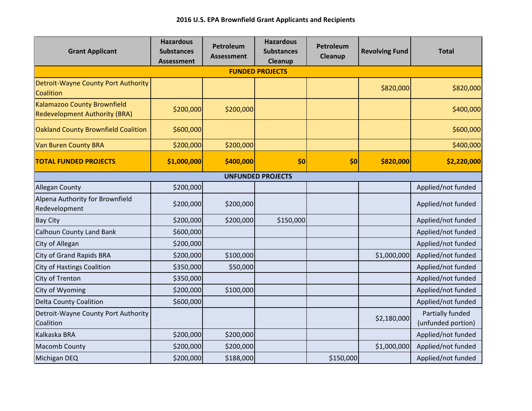| <b>Grant Applicant</b>                                              | <b>Hazardous</b><br><b>Substances</b><br><b>Assessment</b> | Petroleum<br>Assessment | <b>Hazardous</b><br><b>Substances</b><br>Cleanup | Petroleum<br>Cleanup | <b>Revolving Fund</b> | <b>Total</b>                           |  |  |  |  |
|---------------------------------------------------------------------|------------------------------------------------------------|-------------------------|--------------------------------------------------|----------------------|-----------------------|----------------------------------------|--|--|--|--|
| <b>FUNDED PROJECTS</b>                                              |                                                            |                         |                                                  |                      |                       |                                        |  |  |  |  |
| Detroit-Wayne County Port Authority<br>Coalition                    |                                                            |                         |                                                  |                      | \$820,000             | \$820,000                              |  |  |  |  |
| Kalamazoo County Brownfield<br><b>Redevelopment Authority (BRA)</b> | \$200,000                                                  | \$200,000               |                                                  |                      |                       | \$400,000                              |  |  |  |  |
| Oakland County Brownfield Coalition                                 | \$600,000                                                  |                         |                                                  |                      |                       | \$600,000                              |  |  |  |  |
| <b>Van Buren County BRA</b>                                         | \$200,000                                                  | \$200,000               |                                                  |                      |                       | \$400,000                              |  |  |  |  |
| <b>TOTAL FUNDED PROJECTS</b>                                        | \$1,000,000                                                | \$400,000               | \$0                                              | \$0                  | \$820,000             | \$2,220,000                            |  |  |  |  |
| <b>UNFUNDED PROJECTS</b>                                            |                                                            |                         |                                                  |                      |                       |                                        |  |  |  |  |
| <b>Allegan County</b>                                               | \$200,000                                                  |                         |                                                  |                      |                       | Applied/not funded                     |  |  |  |  |
| Alpena Authority for Brownfield<br>Redevelopment                    | \$200,000                                                  | \$200,000               |                                                  |                      |                       | Applied/not funded                     |  |  |  |  |
| <b>Bay City</b>                                                     | \$200,000                                                  | \$200,000               | \$150,000                                        |                      |                       | Applied/not funded                     |  |  |  |  |
| <b>Calhoun County Land Bank</b>                                     | \$600,000                                                  |                         |                                                  |                      |                       | Applied/not funded                     |  |  |  |  |
| City of Allegan                                                     | \$200,000                                                  |                         |                                                  |                      |                       | Applied/not funded                     |  |  |  |  |
| <b>City of Grand Rapids BRA</b>                                     | \$200,000                                                  | \$100,000               |                                                  |                      | \$1,000,000           | Applied/not funded                     |  |  |  |  |
| <b>City of Hastings Coalition</b>                                   | \$350,000                                                  | \$50,000                |                                                  |                      |                       | Applied/not funded                     |  |  |  |  |
| City of Trenton                                                     | \$350,000                                                  |                         |                                                  |                      |                       | Applied/not funded                     |  |  |  |  |
| City of Wyoming                                                     | \$200,000                                                  | \$100,000               |                                                  |                      |                       | Applied/not funded                     |  |  |  |  |
| <b>Delta County Coalition</b>                                       | \$600,000                                                  |                         |                                                  |                      |                       | Applied/not funded                     |  |  |  |  |
| Detroit-Wayne County Port Authority<br>Coalition                    |                                                            |                         |                                                  |                      | \$2,180,000           | Partially funded<br>(unfunded portion) |  |  |  |  |
| Kalkaska BRA                                                        | \$200,000                                                  | \$200,000               |                                                  |                      |                       | Applied/not funded                     |  |  |  |  |
| <b>Macomb County</b>                                                | \$200,000                                                  | \$200,000               |                                                  |                      | \$1,000,000           | Applied/not funded                     |  |  |  |  |
| Michigan DEQ                                                        | \$200,000                                                  | \$188,000               |                                                  | \$150,000            |                       | Applied/not funded                     |  |  |  |  |